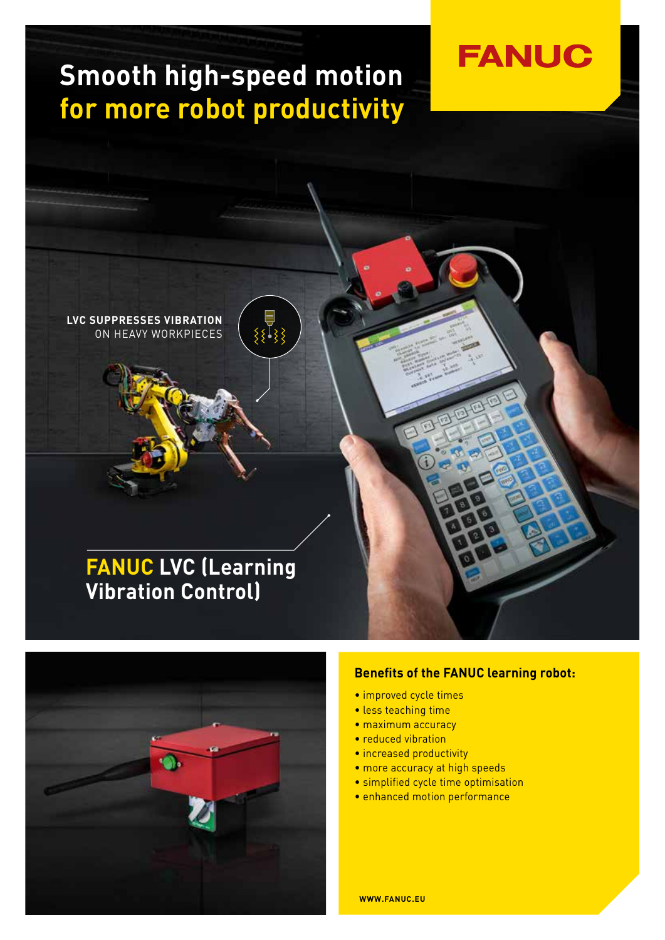# **Smooth high-speed motion for more robot productivity**





#### **Benefits of the FANUC learning robot:**

**FANUC** 

- improved cycle times
- less teaching time
- maximum accuracy
- reduced vibration
- increased productivity
- more accuracy at high speeds
- simplified cycle time optimisation
- enhanced motion performance